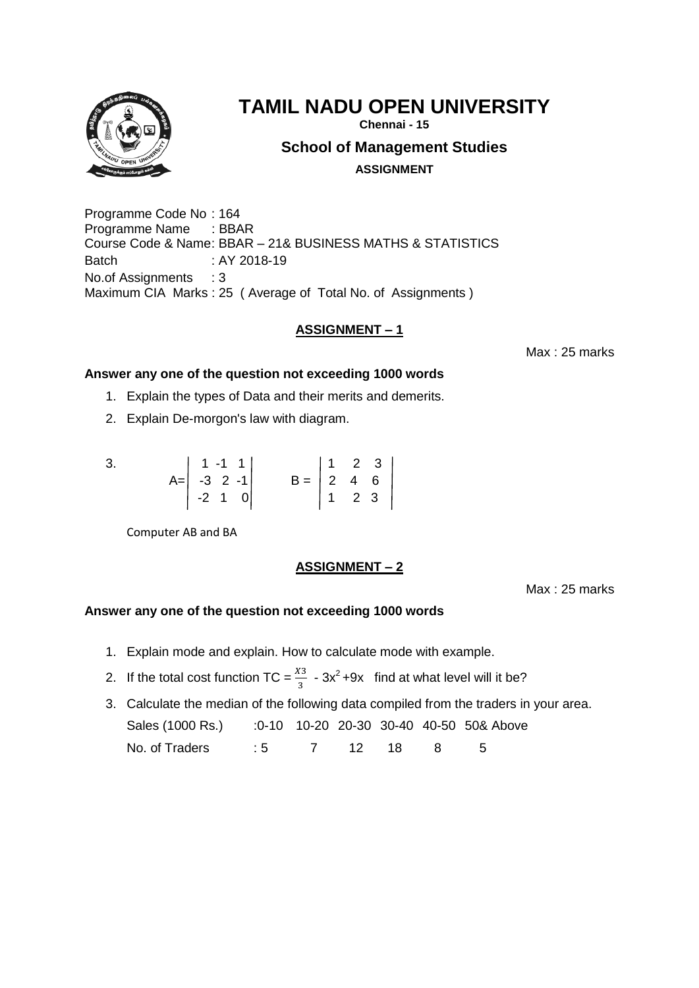

**Chennai - 15**

**School of Management Studies**

**ASSIGNMENT**

Programme Code No : 164 Programme Name : BBAR Course Code & Name: BBAR – 21& BUSINESS MATHS & STATISTICS Batch : AY 2018-19 No.of Assignments : 3 Maximum CIA Marks : 25 ( Average of Total No. of Assignments )

# **ASSIGNMENT – 1**

Max : 25 marks

## **Answer any one of the question not exceeding 1000 words**

- 1. Explain the types of Data and their merits and demerits.
- 2. Explain De-morgon's law with diagram.

| 3. | $\begin{vmatrix} 1 & -1 & 1 \end{vmatrix}$                    |                                                            |  |  |
|----|---------------------------------------------------------------|------------------------------------------------------------|--|--|
|    | $A = \begin{vmatrix} -3 & 2 & -1 \\ -2 & 1 & 0 \end{vmatrix}$ | $B = \begin{bmatrix} 2 & 4 & 6 \\ 1 & 2 & 3 \end{bmatrix}$ |  |  |
|    |                                                               |                                                            |  |  |

Computer AB and BA

# **ASSIGNMENT – 2**

Max : 25 marks

- 1. Explain mode and explain. How to calculate mode with example.
- 2. If the total cost function TC =  $\frac{\chi_3}{3}$  3x<sup>2</sup> +9x find at what level will it be?
- 3. Calculate the median of the following data compiled from the traders in your area. Sales (1000 Rs.) :0-10 10-20 20-30 30-40 40-50 50& Above No. of Traders : 5 7 12 18 8 5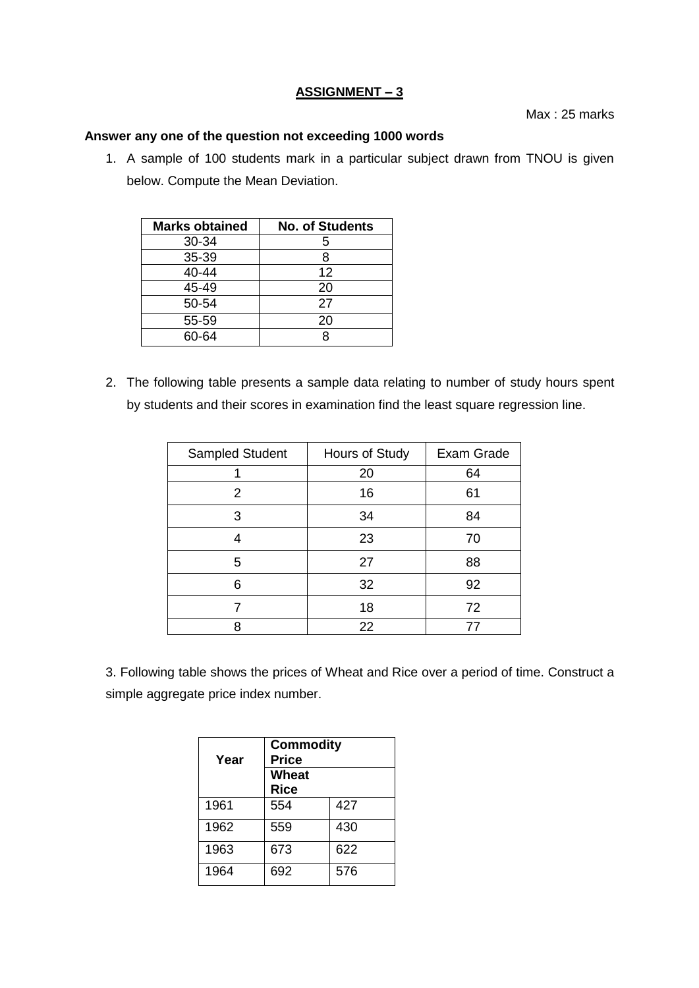## **ASSIGNMENT – 3**

Max : 25 marks

## **Answer any one of the question not exceeding 1000 words**

1. A sample of 100 students mark in a particular subject drawn from TNOU is given below. Compute the Mean Deviation.

| <b>Marks obtained</b> | <b>No. of Students</b> |  |
|-----------------------|------------------------|--|
| 30-34                 | 5                      |  |
| 35-39                 | 8                      |  |
| 40-44                 | 12                     |  |
| 45-49                 | 20                     |  |
| 50-54                 | 27                     |  |
| 55-59                 | 20                     |  |
| 60-64                 | ጸ                      |  |

2. The following table presents a sample data relating to number of study hours spent by students and their scores in examination find the least square regression line.

| Sampled Student | Hours of Study | Exam Grade |  |
|-----------------|----------------|------------|--|
|                 | 20             | 64         |  |
| 2               | 16             | 61         |  |
| 3               | 34             | 84         |  |
|                 | 23             | 70         |  |
| 5               | 27             | 88         |  |
| 6               | 32             | 92         |  |
|                 | 18             | 72         |  |
| 8               | 22             | 77         |  |

3. Following table shows the prices of Wheat and Rice over a period of time. Construct a simple aggregate price index number.

| Year | <b>Commodity</b><br><b>Price</b><br><b>Wheat</b><br><b>Rice</b> |     |
|------|-----------------------------------------------------------------|-----|
| 1961 | 554                                                             | 427 |
| 1962 | 559                                                             | 430 |
| 1963 | 673                                                             | 622 |
| 1964 | 692                                                             | 576 |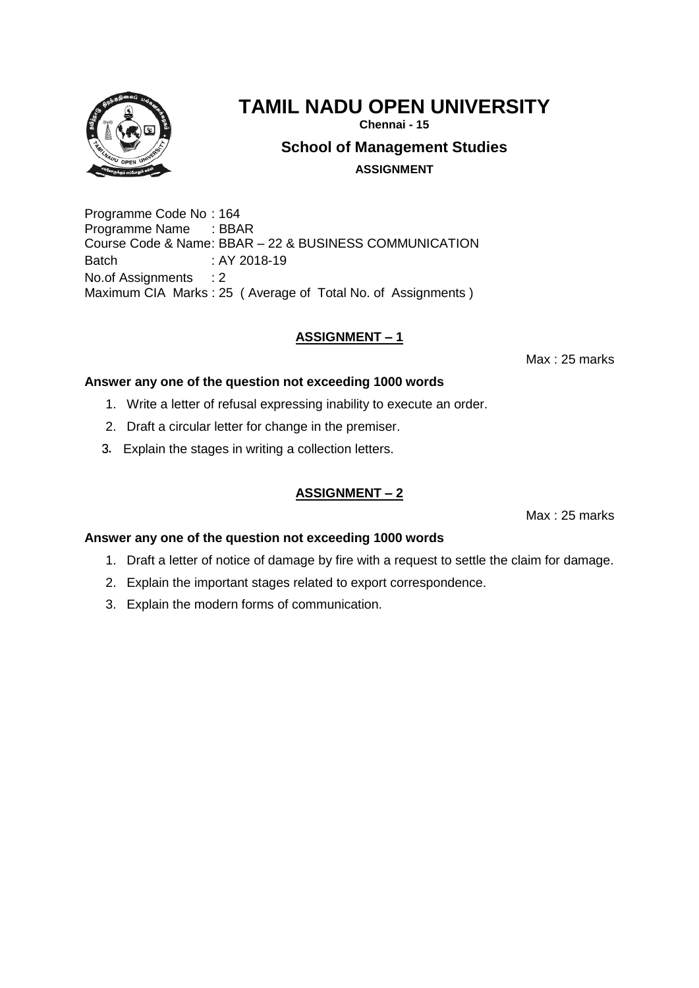

**Chennai - 15**

**School of Management Studies**

**ASSIGNMENT**

Programme Code No : 164 Programme Name : BBAR Course Code & Name: BBAR – 22 & BUSINESS COMMUNICATION Batch : AY 2018-19 No.of Assignments : 2 Maximum CIA Marks : 25 ( Average of Total No. of Assignments )

# **ASSIGNMENT – 1**

Max : 25 marks

## **Answer any one of the question not exceeding 1000 words**

- 1. Write a letter of refusal expressing inability to execute an order.
- 2. Draft a circular letter for change in the premiser.
- 3. Explain the stages in writing a collection letters.

# **ASSIGNMENT – 2**

Max : 25 marks

- 1. Draft a letter of notice of damage by fire with a request to settle the claim for damage.
- 2. Explain the important stages related to export correspondence.
- 3. Explain the modern forms of communication.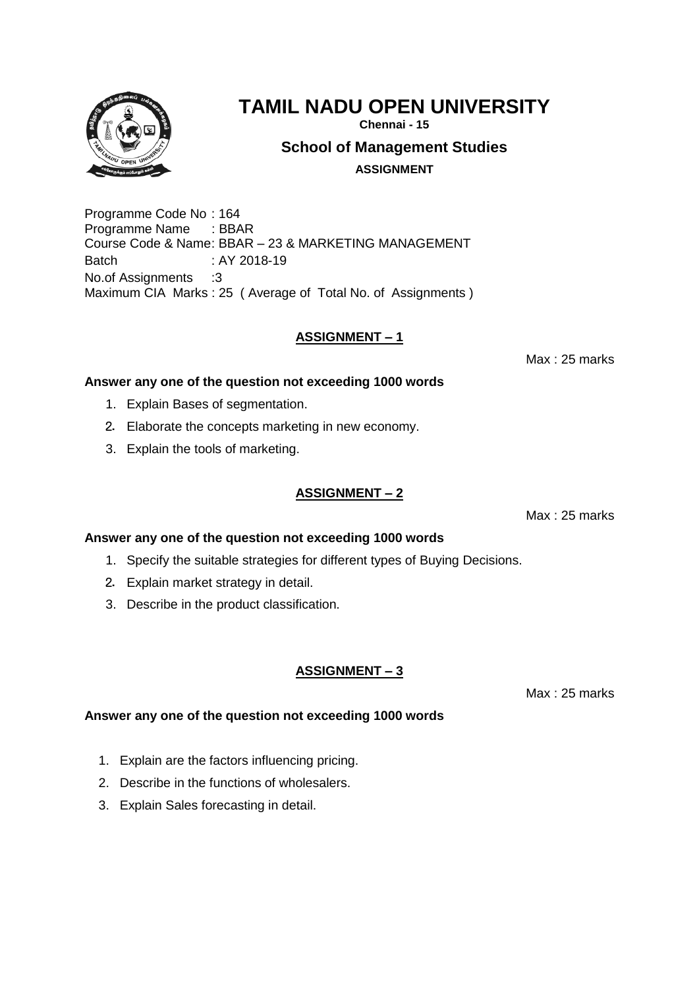

**Chennai - 15**

**School of Management Studies**

**ASSIGNMENT**

Programme Code No : 164 Programme Name : BBAR Course Code & Name: BBAR – 23 & MARKETING MANAGEMENT Batch : AY 2018-19 No.of Assignments :3 Maximum CIA Marks : 25 ( Average of Total No. of Assignments )

## **ASSIGNMENT – 1**

Max : 25 marks

## **Answer any one of the question not exceeding 1000 words**

- 1. Explain Bases of segmentation.
- 2. Elaborate the concepts marketing in new economy.
- 3. Explain the tools of marketing.

## **ASSIGNMENT – 2**

Max : 25 marks

#### **Answer any one of the question not exceeding 1000 words**

- 1. Specify the suitable strategies for different types of Buying Decisions.
- 2. Explain market strategy in detail.
- 3. Describe in the product classification.

#### **ASSIGNMENT – 3**

Max : 25 marks

- 1. Explain are the factors influencing pricing.
- 2. Describe in the functions of wholesalers.
- 3. Explain Sales forecasting in detail.

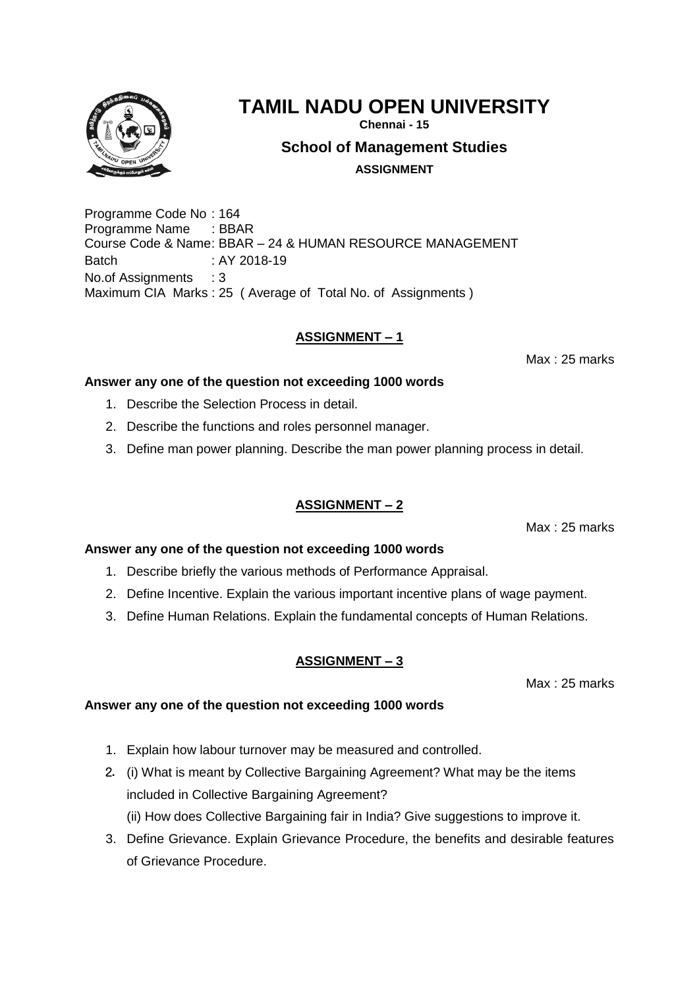**Chennai - 15**

**School of Management Studies**

**ASSIGNMENT**

Programme Code No : 164 Programme Name : BBAR Course Code & Name: BBAR – 24 & HUMAN RESOURCE MANAGEMENT Batch : AY 2018-19 No.of Assignments : 3 Maximum CIA Marks : 25 ( Average of Total No. of Assignments )

# **ASSIGNMENT – 1**

Max : 25 marks

# **Answer any one of the question not exceeding 1000 words**

- 1. Describe the Selection Process in detail.
- 2. Describe the functions and roles personnel manager.
- 3. Define man power planning. Describe the man power planning process in detail.

# **ASSIGNMENT – 2**

Max : 25 marks

# **Answer any one of the question not exceeding 1000 words**

- 1. Describe briefly the various methods of Performance Appraisal.
- 2. Define Incentive. Explain the various important incentive plans of wage payment.
- 3. Define Human Relations. Explain the fundamental concepts of Human Relations.

# **ASSIGNMENT – 3**

Max : 25 marks

- 1. Explain how labour turnover may be measured and controlled.
- 2. (i) What is meant by Collective Bargaining Agreement? What may be the items included in Collective Bargaining Agreement? (ii) How does Collective Bargaining fair in India? Give suggestions to improve it.
- 3. Define Grievance. Explain Grievance Procedure, the benefits and desirable features of Grievance Procedure.